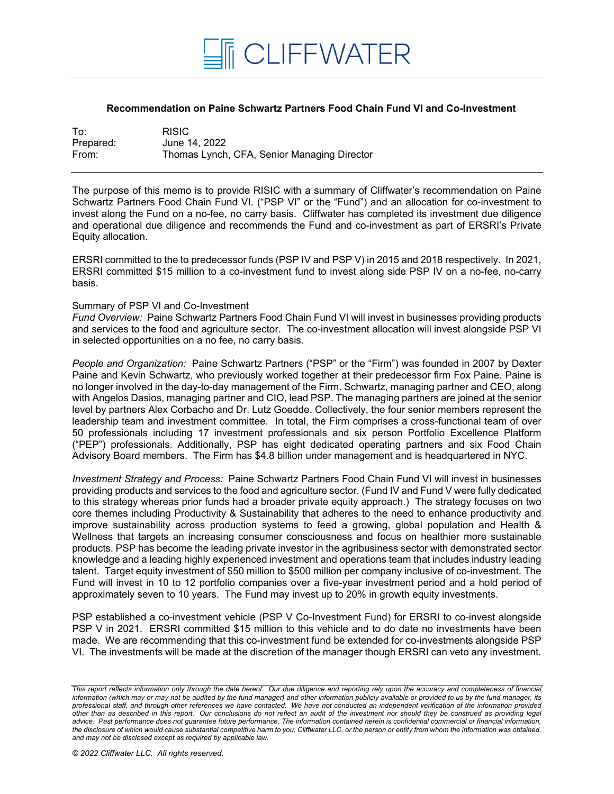

## **Recommendation on Paine Schwartz Partners Food Chain Fund VI and Co-Investment**

| To:       | <b>RISIC</b>                                |
|-----------|---------------------------------------------|
| Prepared: | June 14, 2022                               |
| From:     | Thomas Lynch, CFA, Senior Managing Director |

The purpose of this memo is to provide RISIC with a summary of Cliffwater's recommendation on Paine Schwartz Partners Food Chain Fund VI. ("PSP VI" or the "Fund") and an allocation for co-investment to invest along the Fund on a no-fee, no carry basis. Cliffwater has completed its investment due diligence and operational due diligence and recommends the Fund and co-investment as part of ERSRI's Private Equity allocation.

ERSRI committed to the to predecessor funds (PSP IV and PSP V) in 2015 and 2018 respectively. In 2021, ERSRI committed \$15 million to a co-investment fund to invest along side PSP IV on a no-fee, no-carry basis.

## Summary of PSP VI and Co-Investment

*Fund Overview:* Paine Schwartz Partners Food Chain Fund VI will invest in businesses providing products and services to the food and agriculture sector. The co-investment allocation will invest alongside PSP VI in selected opportunities on a no fee, no carry basis.

*People and Organization:* Paine Schwartz Partners ("PSP" or the "Firm") was founded in 2007 by Dexter Paine and Kevin Schwartz, who previously worked together at their predecessor firm Fox Paine. Paine is no longer involved in the day-to-day management of the Firm. Schwartz, managing partner and CEO, along with Angelos Dasios, managing partner and CIO, lead PSP. The managing partners are joined at the senior level by partners Alex Corbacho and Dr. Lutz Goedde. Collectively, the four senior members represent the leadership team and investment committee. In total, the Firm comprises a cross-functional team of over 50 professionals including 17 investment professionals and six person Portfolio Excellence Platform ("PEP") professionals. Additionally, PSP has eight dedicated operating partners and six Food Chain Advisory Board members. The Firm has \$4.8 billion under management and is headquartered in NYC.

*Investment Strategy and Process:* Paine Schwartz Partners Food Chain Fund VI will invest in businesses providing products and services to the food and agriculture sector. (Fund IV and Fund V were fully dedicated to this strategy whereas prior funds had a broader private equity approach.) The strategy focuses on two core themes including Productivity & Sustainability that adheres to the need to enhance productivity and improve sustainability across production systems to feed a growing, global population and Health & Wellness that targets an increasing consumer consciousness and focus on healthier more sustainable products. PSP has become the leading private investor in the agribusiness sector with demonstrated sector knowledge and a leading highly experienced investment and operations team that includes industry leading talent. Target equity investment of \$50 million to \$500 million per company inclusive of co-investment. The Fund will invest in 10 to 12 portfolio companies over a five-year investment period and a hold period of approximately seven to 10 years. The Fund may invest up to 20% in growth equity investments.

PSP established a co-investment vehicle (PSP V Co-Investment Fund) for ERSRI to co-invest alongside PSP V in 2021. ERSRI committed \$15 million to this vehicle and to do date no investments have been made. We are recommending that this co-investment fund be extended for co-investments alongside PSP VI. The investments will be made at the discretion of the manager though ERSRI can veto any investment.

*This report reflects information only through the date hereof. Our due diligence and reporting rely upon the accuracy and completeness of financial information (which may or may not be audited by the fund manager) and other information publicly available or provided to us by the fund manager, its professional staff, and through other references we have contacted. We have not conducted an independent verification of the information provided other than as described in this report. Our conclusions do not reflect an audit of the investment nor should they be construed as providing legal advice. Past performance does not guarantee future performance. The information contained herein is confidential commercial or financial information, the disclosure of which would cause substantial competitive harm to you, Cliffwater LLC, or the person or entity from whom the information was obtained, and may not be disclosed except as required by applicable law.*